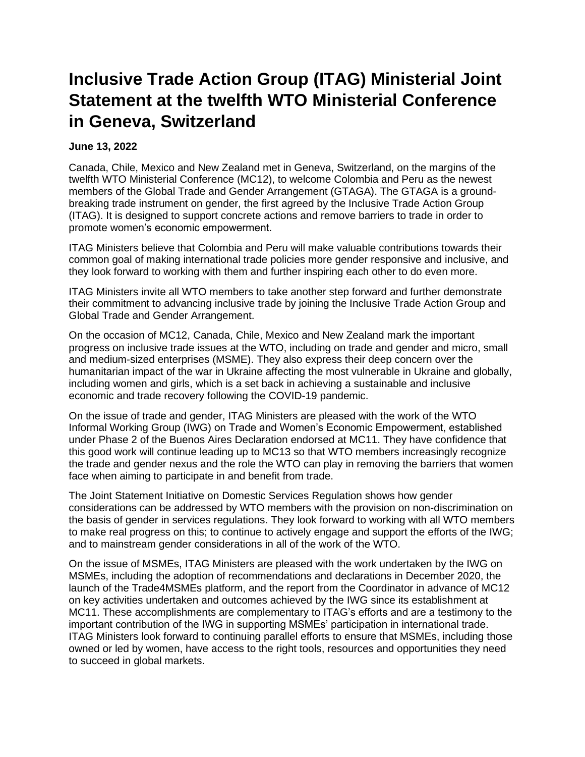## **Inclusive Trade Action Group (ITAG) Ministerial Joint Statement at the twelfth WTO Ministerial Conference in Geneva, Switzerland**

## **June 13, 2022**

Canada, Chile, Mexico and New Zealand met in Geneva, Switzerland, on the margins of the twelfth WTO Ministerial Conference (MC12), to welcome Colombia and Peru as the newest members of the Global Trade and Gender Arrangement (GTAGA). The GTAGA is a groundbreaking trade instrument on gender, the first agreed by the Inclusive Trade Action Group (ITAG). It is designed to support concrete actions and remove barriers to trade in order to promote women's economic empowerment.

ITAG Ministers believe that Colombia and Peru will make valuable contributions towards their common goal of making international trade policies more gender responsive and inclusive, and they look forward to working with them and further inspiring each other to do even more.

ITAG Ministers invite all WTO members to take another step forward and further demonstrate their commitment to advancing inclusive trade by joining the Inclusive Trade Action Group and Global Trade and Gender Arrangement.

On the occasion of MC12, Canada, Chile, Mexico and New Zealand mark the important progress on inclusive trade issues at the WTO, including on trade and gender and micro, small and medium-sized enterprises (MSME). They also express their deep concern over the humanitarian impact of the war in Ukraine affecting the most vulnerable in Ukraine and globally, including women and girls, which is a set back in achieving a sustainable and inclusive economic and trade recovery following the COVID-19 pandemic.

On the issue of trade and gender, ITAG Ministers are pleased with the work of the WTO Informal Working Group (IWG) on Trade and Women's Economic Empowerment, established under Phase 2 of the Buenos Aires Declaration endorsed at MC11. They have confidence that this good work will continue leading up to MC13 so that WTO members increasingly recognize the trade and gender nexus and the role the WTO can play in removing the barriers that women face when aiming to participate in and benefit from trade.

The Joint Statement Initiative on Domestic Services Regulation shows how gender considerations can be addressed by WTO members with the provision on non-discrimination on the basis of gender in services regulations. They look forward to working with all WTO members to make real progress on this; to continue to actively engage and support the efforts of the IWG; and to mainstream gender considerations in all of the work of the WTO.

On the issue of MSMEs, ITAG Ministers are pleased with the work undertaken by the IWG on MSMEs, including the adoption of recommendations and declarations in December 2020, the launch of the Trade4MSMEs platform, and the report from the Coordinator in advance of MC12 on key activities undertaken and outcomes achieved by the IWG since its establishment at MC11. These accomplishments are complementary to ITAG's efforts and are a testimony to the important contribution of the IWG in supporting MSMEs' participation in international trade. ITAG Ministers look forward to continuing parallel efforts to ensure that MSMEs, including those owned or led by women, have access to the right tools, resources and opportunities they need to succeed in global markets.